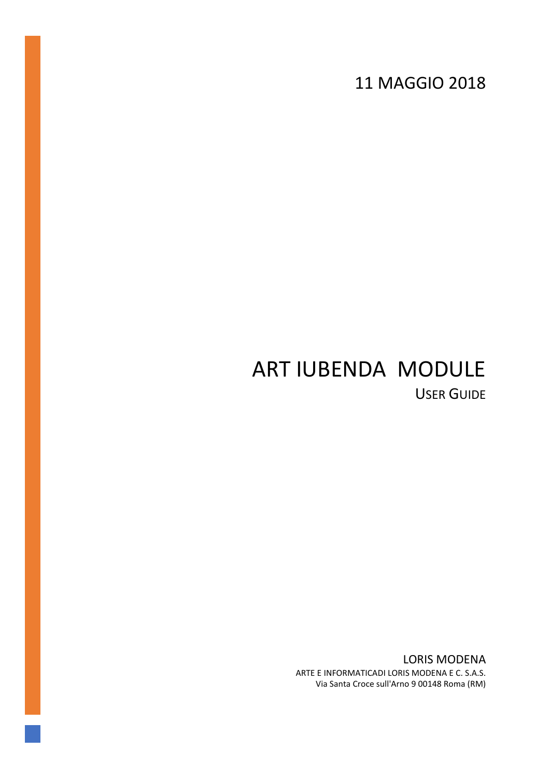11 MAGGIO 2018

# ART IUBENDA MODULE USER GUIDE

LORIS MODENA ARTE E INFORMATICADI LORIS MODENA E C. S.A.S. Via Santa Croce sull'Arno 9 00148 Roma (RM)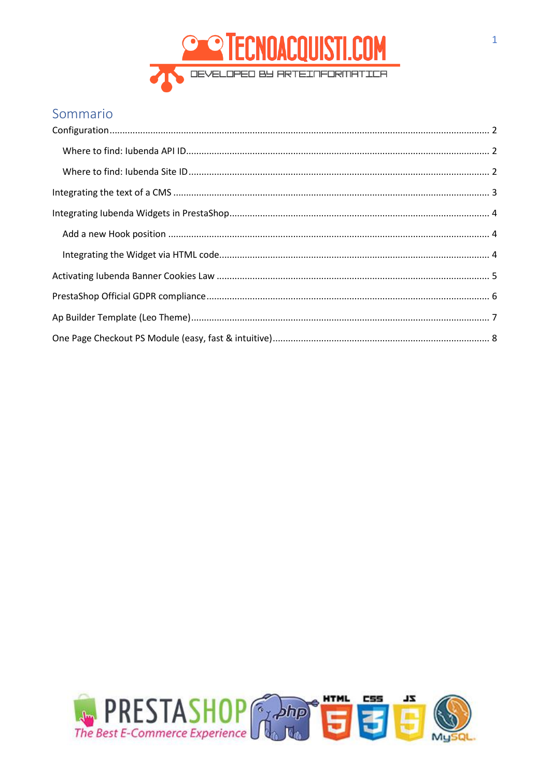

### Sommario

| $\label{eq:conf} \text{Configuration}$ |  |
|----------------------------------------|--|
|                                        |  |
|                                        |  |
|                                        |  |
|                                        |  |
|                                        |  |
|                                        |  |
|                                        |  |
|                                        |  |
|                                        |  |
|                                        |  |

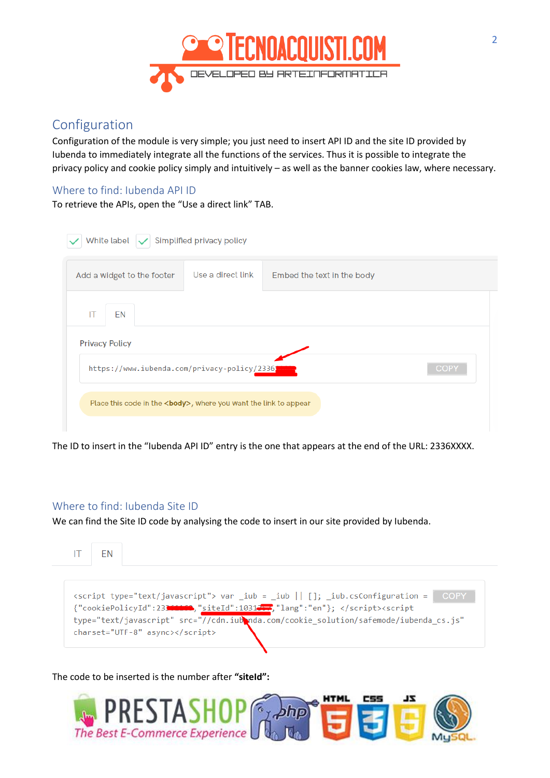

### <span id="page-2-0"></span>Configuration

Configuration of the module is very simple; you just need to insert API ID and the site ID provided by Iubenda to immediately integrate all the functions of the services. Thus it is possible to integrate the privacy policy and cookie policy simply and intuitively – as well as the banner cookies law, where necessary.

### <span id="page-2-1"></span>Where to find: Iubenda API ID

To retrieve the APIs, open the "Use a direct link" TAB.

| White label $ \boldsymbol{\checkmark} $ Simplified privacy policy       |                   |                            |
|-------------------------------------------------------------------------|-------------------|----------------------------|
| Add a widget to the footer                                              | Use a direct link | Embed the text in the body |
| EN<br>IT                                                                |                   |                            |
| <b>Privacy Policy</b>                                                   |                   |                            |
| https://www.iubenda.com/privacy-policy/23361                            |                   | <b>COPY</b>                |
| Place this code in the <body>, where you want the link to appear</body> |                   |                            |
|                                                                         |                   |                            |

The ID to insert in the "Iubenda API ID" entry is the one that appears at the end of the URL: 2336XXXX.

#### <span id="page-2-2"></span>Where to find: Iubenda Site ID

We can find the Site ID code by analysing the code to insert in our site provided by Iubenda.

IT **FN** 

<script type="text/javascript"> var \_iub = \_iub || []; \_iub.csConfiguration = COPY {"cookiePolicyId":233 (1991),"siteId":10312.7,"lang":"en"}; </script><script type="text/javascript" src="//cdn.iub\nda.com/cookie\_solution/safemode/iubenda\_cs.js" charset="UTF-8" async></script>

#### The code to be inserted is the number after **"siteId":**

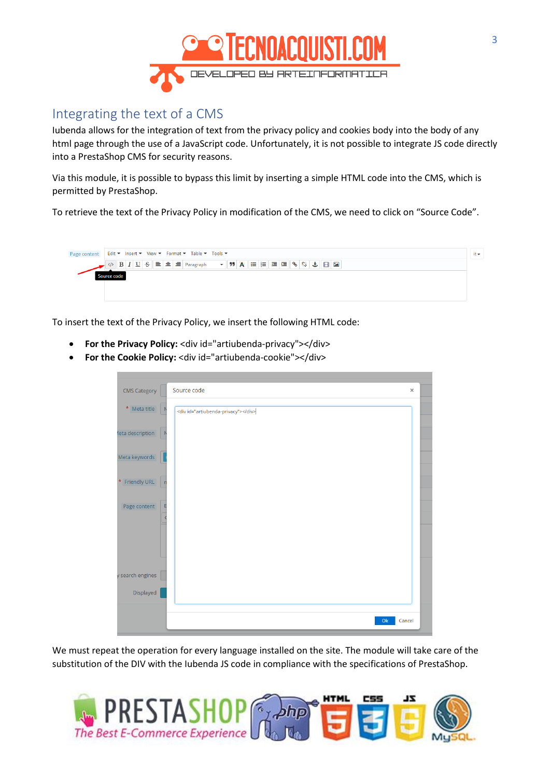

### <span id="page-3-0"></span>Integrating the text of a CMS

Iubenda allows for the integration of text from the privacy policy and cookies body into the body of any html page through the use of a JavaScript code. Unfortunately, it is not possible to integrate JS code directly into a PrestaShop CMS for security reasons.

Via this module, it is possible to bypass this limit by inserting a simple HTML code into the CMS, which is permitted by PrestaShop.

To retrieve the text of the Privacy Policy in modification of the CMS, we need to click on "Source Code".



To insert the text of the Privacy Policy, we insert the following HTML code:

- **For the Privacy Policy:** <div id="artiubenda-privacy"></div>
- **For the Cookie Policy:** <div id="artiubenda-cookie"></div>

| <b>CMS Category</b> | Source code<br>$\pmb{\times}$       |  |
|---------------------|-------------------------------------|--|
| $\star$ Meta title  | <div id="artiubenda-privacy"></div> |  |
| leta description    | N                                   |  |
| Meta keywords       |                                     |  |
| * Friendly URL      | 'n                                  |  |
| Page content        | Ę                                   |  |
| y search engines    |                                     |  |
| Displayed           |                                     |  |
|                     | Ok<br>Cancel                        |  |

We must repeat the operation for every language installed on the site. The module will take care of the substitution of the DIV with the Iubenda JS code in compliance with the specifications of PrestaShop.

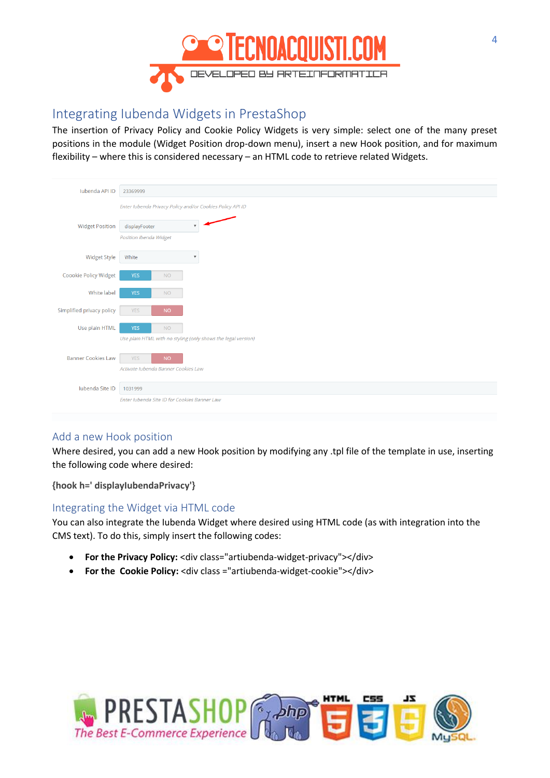

### <span id="page-4-0"></span>Integrating Iubenda Widgets in PrestaShop

The insertion of Privacy Policy and Cookie Policy Widgets is very simple: select one of the many preset positions in the module (Widget Position drop-down menu), insert a new Hook position, and for maximum flexibility – where this is considered necessary – an HTML code to retrieve related Widgets.

| <b>lubenda API ID</b>     | 23369999                                                       |
|---------------------------|----------------------------------------------------------------|
|                           | Enter Iubenda Privacy Policy and/or Cookies Policy API ID      |
| <b>Widget Position</b>    | displayFooter<br>$\overline{\mathbf{v}}$                       |
|                           | Position Ibenda Widget                                         |
| <b>Widget Style</b>       | White<br>$\overline{\mathbf{v}}$                               |
| Coookie Policy Widget     | <b>YES</b><br><b>NO</b>                                        |
| White label               | <b>YES</b><br><b>NO</b>                                        |
| Simplified privacy policy | <b>YES</b><br><b>NO</b>                                        |
| Use plain HTML            | <b>YES</b><br><b>NO</b>                                        |
|                           | Use plain HTML with no styling (only shows the legal version)  |
| <b>Banner Cookies Law</b> | <b>NO</b><br><b>YES</b><br>Activate Jubenda Banner Cookies Law |
|                           |                                                                |
| Iubenda Site ID           | 1031999<br>Enter Jubenda Site ID for Cookies Banner Law        |
|                           |                                                                |

### <span id="page-4-1"></span>Add a new Hook position

Where desired, you can add a new Hook position by modifying any .tpl file of the template in use, inserting the following code where desired:

**{hook h=' displayIubendaPrivacy'}**

#### <span id="page-4-2"></span>Integrating the Widget via HTML code

You can also integrate the Iubenda Widget where desired using HTML code (as with integration into the CMS text). To do this, simply insert the following codes:

- For the Privacy Policy: <div class="artiubenda-widget-privacy"></div>
- **For the Cookie Policy:** <div class ="artiubenda-widget-cookie"></div>

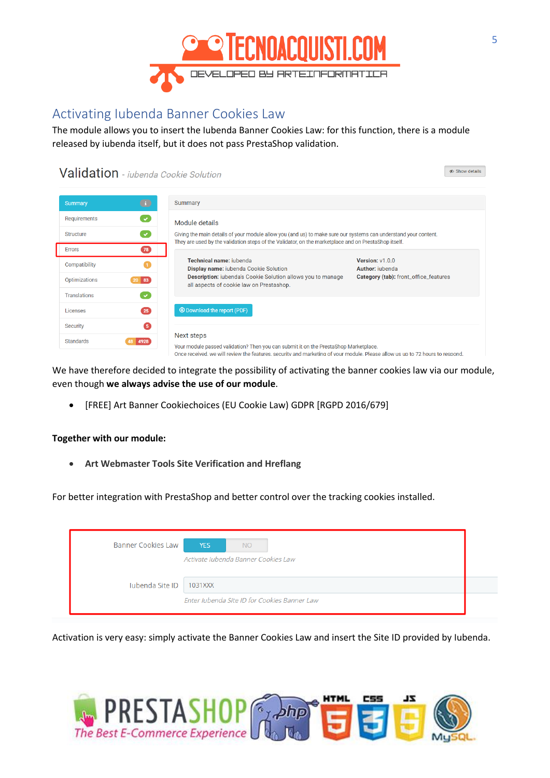

### <span id="page-5-0"></span>Activating Iubenda Banner Cookies Law

The module allows you to insert the Iubenda Banner Cookies Law: for this function, there is a module released by iubenda itself, but it does not pass PrestaShop validation.

### Validation - jubenda Cookie Solution

| <b>Summary</b>      | $\bullet$          | Summary                                                                                                                                                                                                                             |                                       |
|---------------------|--------------------|-------------------------------------------------------------------------------------------------------------------------------------------------------------------------------------------------------------------------------------|---------------------------------------|
| Requirements        | $\mathbf{v}$       | Module details                                                                                                                                                                                                                      |                                       |
| Structure           |                    | Giving the main details of your module allow you (and us) to make sure our systems can understand your content.<br>They are used by the validation steps of the Validator, on the marketplace and on PrestaShop itself.             |                                       |
| <b>Errors</b>       | 78)                |                                                                                                                                                                                                                                     |                                       |
| Compatibility       |                    | Technical name: iubenda<br>Display name: iubenda Cookie Solution                                                                                                                                                                    | Version: v1.0.0<br>Author: jubenda    |
| Optimizations       | $ 83\rangle$<br>20 | <b>Description:</b> iubenda's Cookie Solution allows you to manage<br>all aspects of cookie law on Prestashop.                                                                                                                      | Category (tab): front_office_features |
| <b>Translations</b> | V                  |                                                                                                                                                                                                                                     |                                       |
| Licenses            | $\overline{25}$    | <b>O</b> Download the report (PDF)                                                                                                                                                                                                  |                                       |
| <b>Security</b>     | 6                  |                                                                                                                                                                                                                                     |                                       |
| <b>Standards</b>    | 4928               | Next steps<br>Your module passed validation? Then you can submit it on the PrestaShop Marketplace.<br>Once received, we will review the features, security and marketing of your module. Please allow us up to 72 hours to respond. |                                       |

We have therefore decided to integrate the possibility of activating the banner cookies law via our module, even though **we always advise the use of our module**.

• [FREE] Art Banner Cookiechoices (EU Cookie Law) GDPR [RGPD 2016/679]

#### **Together with our module:**

• **Art Webmaster Tools Site Verification and Hreflang**

For better integration with PrestaShop and better control over the tracking cookies installed.

| <b>Banner Cookies Law</b> | <b>YES</b><br>NO <sub>1</sub>                |
|---------------------------|----------------------------------------------|
|                           | Activate Iubenda Banner Cookies Law          |
| lubenda Site ID   1031XXX |                                              |
|                           | Enter Jubenda Site ID for Cookies Banner Law |

Activation is very easy: simply activate the Banner Cookies Law and insert the Site ID provided by Iubenda.



 $\bullet$  Show details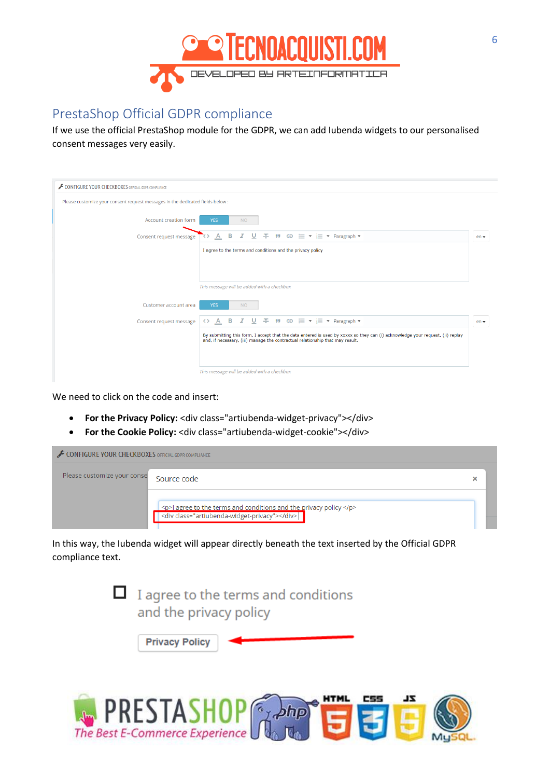

## <span id="page-6-0"></span>PrestaShop Official GDPR compliance

If we use the official PrestaShop module for the GDPR, we can add Iubenda widgets to our personalised consent messages very easily.

| CONFIGURE YOUR CHECKBOXES OFFICIAL GDPR COMPLIANCE                                                                                                                                                              |        |
|-----------------------------------------------------------------------------------------------------------------------------------------------------------------------------------------------------------------|--------|
| Please customize your consent request messages in the dedicated fields below :                                                                                                                                  |        |
| Account creation form<br><b>YES</b><br><b>NO</b>                                                                                                                                                                |        |
| 子 ♥ ⊕ 三▼ 三▼ Paragraph ▼<br>в<br>$\overline{\mathbb{A}}$<br>U<br>Consent request message                                                                                                                         | $en -$ |
| I agree to the terms and conditions and the privacy policy                                                                                                                                                      |        |
|                                                                                                                                                                                                                 |        |
|                                                                                                                                                                                                                 |        |
| This message will be added with a checkbox                                                                                                                                                                      |        |
| Customer account area<br><b>YES</b><br><b>NO</b>                                                                                                                                                                |        |
| " $\oplus \equiv \star \equiv \star$ Paragraph $\star$<br>в<br>÷<br>$\Delta$<br>Consent request message<br>くゝ                                                                                                   | $en -$ |
| By submitting this form, I accept that the data entered is used by xxxxx so they can (i) acknowledge your request, (ii) replay<br>and, if necessary, (iii) manage the contractual relationship that may result. |        |
|                                                                                                                                                                                                                 |        |
| This message will be added with a checkbox                                                                                                                                                                      |        |

We need to click on the code and insert:

- **For the Privacy Policy:** <div class="artiubenda-widget-privacy"></div>
- **For the Cookie Policy:** <div class="artiubenda-widget-cookie"></div>

| CONFIGURE YOUR CHECKBOXES OFFICIAL GDPR COMPLIANCE |                                                                                                                     |  |
|----------------------------------------------------|---------------------------------------------------------------------------------------------------------------------|--|
| Please customize your conse Source code            |                                                                                                                     |  |
|                                                    | $ $ <p>I agree to the terms and conditions and the privacy policy </p> $\le$ div class="artiubenda-widget-privacy"> |  |

In this way, the Iubenda widget will appear directly beneath the text inserted by the Official GDPR compliance text.

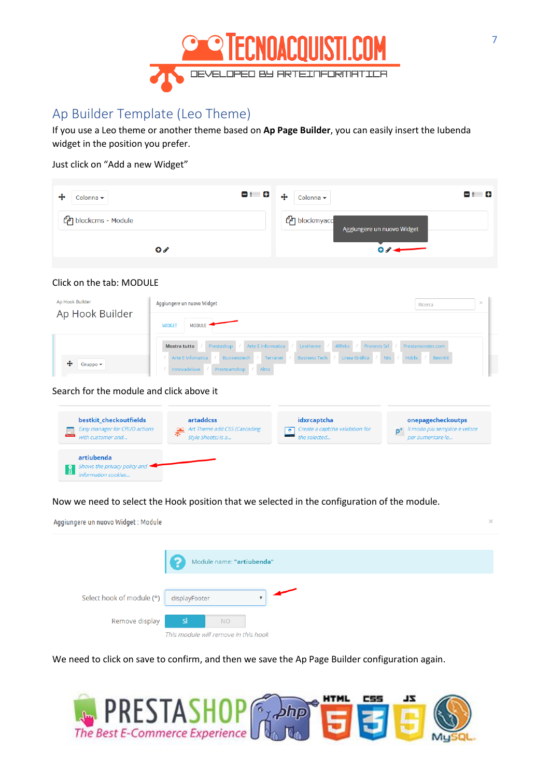

# <span id="page-7-0"></span>Ap Builder Template (Leo Theme)

If you use a Leo theme or another theme based on **Ap Page Builder**, you can easily insert the Iubenda widget in the position you prefer.

Just click on "Add a new Widget"

| 81 B<br>Colonna <del>v</del>   | 81 C<br>$\ddot{\textbf{t}}$<br>Colonna v              |
|--------------------------------|-------------------------------------------------------|
| <sup>2</sup> blockcms - Module | <sup>2</sup> blockmyaco<br>Aggiungere un nuovo Widget |
| $\bullet$                      |                                                       |

#### Click on the tab: MODULE

| Ap Hook Builder              | Aggiungere un nuovo Widget                                                                                     | Ricerca           | $\times$ |
|------------------------------|----------------------------------------------------------------------------------------------------------------|-------------------|----------|
| Ap Hook Builder              | <b>MODULE</b><br><b>WIDGET</b>                                                                                 |                   |          |
|                              | 4Webs<br>Arte E Informatica<br>Pronesis Srl<br>Leotheme<br>Prestashop<br><b>Mostra tutto</b>                   | Prestamonster.com |          |
| ⊕                            | Arte E Infomatica<br>Línea Gráfica<br>Hdclic<br>Terranet<br><b>Business Tech</b><br><b>Nts</b><br>Businesstech | Best-Kit          |          |
| Gruppo $\blacktriangleright$ | Altro<br>Innovadeluxe<br>Presteamshop                                                                          |                   |          |

Search for the module and click above it

| bestkit checkoutfields<br>Easy manager for CRUD actions<br><b>Best Ki</b><br>with customer and | artaddcss<br>ore Art Theme add CSS (Cascading<br>Style Sheets) is a | idxrcaptcha<br>Create a captcha validation for<br>the selected | onepagecheckoutps<br>Il modo più semplice e veloce<br>per aumentare le |
|------------------------------------------------------------------------------------------------|---------------------------------------------------------------------|----------------------------------------------------------------|------------------------------------------------------------------------|
| artiubenda<br>Shows the privacy policy and<br>aformation cookies                               |                                                                     |                                                                |                                                                        |

Now we need to select the Hook position that we selected in the configuration of the module.

Aggiungere un nuovo Widget: Module

|                           | B<br>Module name: "artiubenda"                                 |
|---------------------------|----------------------------------------------------------------|
| Select hook of module (*) | displayFooter<br>$\overline{\mathbf{v}}$                       |
| Remove display            | <b>Sì</b><br><b>NO</b><br>This module will remove in this hook |

We need to click on save to confirm, and then we save the Ap Page Builder configuration again.